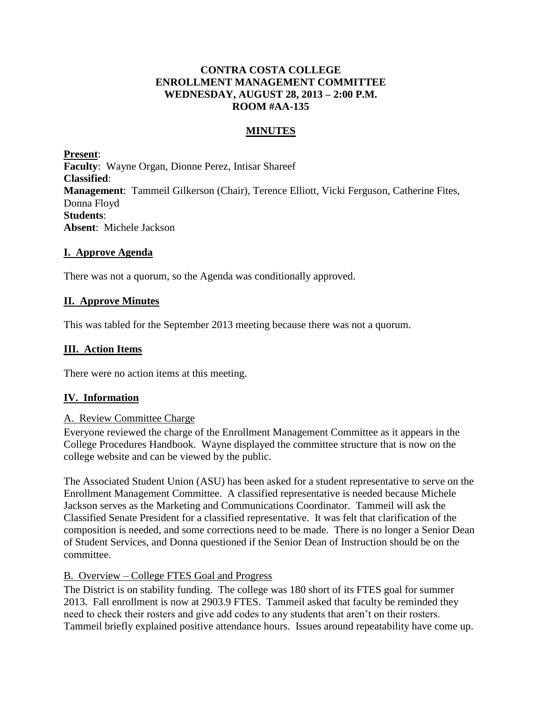# **CONTRA COSTA COLLEGE ENROLLMENT MANAGEMENT COMMITTEE WEDNESDAY, AUGUST 28, 2013 – 2:00 P.M. ROOM #AA-135**

# **MINUTES**

**Present**: **Faculty**: Wayne Organ, Dionne Perez, Intisar Shareef **Classified**: **Management**: Tammeil Gilkerson (Chair), Terence Elliott, Vicki Ferguson, Catherine Fites, Donna Floyd **Students**: **Absent**: Michele Jackson

## **I. Approve Agenda**

There was not a quorum, so the Agenda was conditionally approved.

# **II. Approve Minutes**

This was tabled for the September 2013 meeting because there was not a quorum.

## **III. Action Items**

There were no action items at this meeting.

# **IV. Information**

### A. Review Committee Charge

Everyone reviewed the charge of the Enrollment Management Committee as it appears in the College Procedures Handbook. Wayne displayed the committee structure that is now on the college website and can be viewed by the public.

The Associated Student Union (ASU) has been asked for a student representative to serve on the Enrollment Management Committee. A classified representative is needed because Michele Jackson serves as the Marketing and Communications Coordinator. Tammeil will ask the Classified Senate President for a classified representative. It was felt that clarification of the composition is needed, and some corrections need to be made. There is no longer a Senior Dean of Student Services, and Donna questioned if the Senior Dean of Instruction should be on the committee.

### B. Overview – College FTES Goal and Progress

The District is on stability funding. The college was 180 short of its FTES goal for summer 2013. Fall enrollment is now at 2903.9 FTES. Tammeil asked that faculty be reminded they need to check their rosters and give add codes to any students that aren't on their rosters. Tammeil briefly explained positive attendance hours. Issues around repeatability have come up.